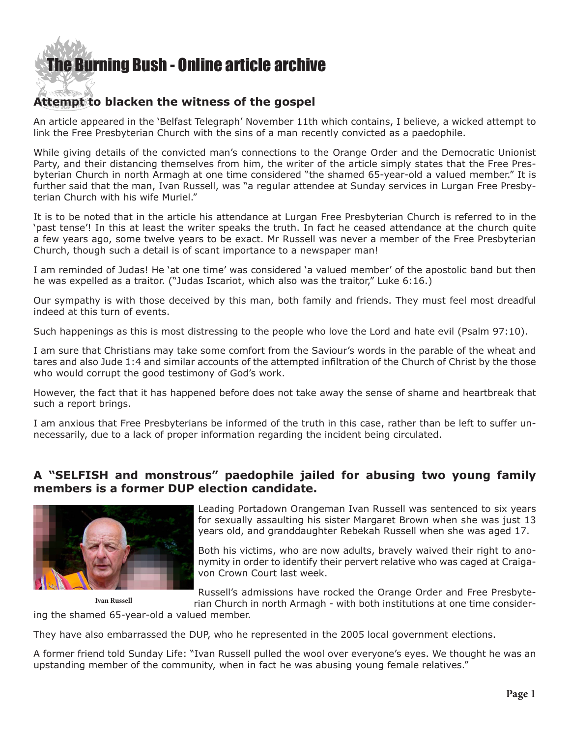

## **Attempt to blacken the witness of the gospel**

An article appeared in the 'Belfast Telegraph' November 11th which contains, I believe, a wicked attempt to link the Free Presbyterian Church with the sins of a man recently convicted as a paedophile.

While giving details of the convicted man's connections to the Orange Order and the Democratic Unionist Party, and their distancing themselves from him, the writer of the article simply states that the Free Presbyterian Church in north Armagh at one time considered "the shamed 65-year-old a valued member." It is further said that the man, Ivan Russell, was "a regular attendee at Sunday services in Lurgan Free Presbyterian Church with his wife Muriel."

It is to be noted that in the article his attendance at Lurgan Free Presbyterian Church is referred to in the 'past tense'! In this at least the writer speaks the truth. In fact he ceased attendance at the church quite a few years ago, some twelve years to be exact. Mr Russell was never a member of the Free Presbyterian Church, though such a detail is of scant importance to a newspaper man!

I am reminded of Judas! He 'at one time' was considered 'a valued member' of the apostolic band but then he was expelled as a traitor. ("Judas Iscariot, which also was the traitor," Luke 6:16.)

Our sympathy is with those deceived by this man, both family and friends. They must feel most dreadful indeed at this turn of events.

Such happenings as this is most distressing to the people who love the Lord and hate evil (Psalm 97:10).

I am sure that Christians may take some comfort from the Saviour's words in the parable of the wheat and tares and also Jude 1:4 and similar accounts of the attempted infiltration of the Church of Christ by the those who would corrupt the good testimony of God's work.

However, the fact that it has happened before does not take away the sense of shame and heartbreak that such a report brings.

I am anxious that Free Presbyterians be informed of the truth in this case, rather than be left to suffer unnecessarily, due to a lack of proper information regarding the incident being circulated.

## **A "SELFISH and monstrous" paedophile jailed for abusing two young family members is a former DUP election candidate.**



Leading Portadown Orangeman Ivan Russell was sentenced to six years for sexually assaulting his sister Margaret Brown when she was just 13 years old, and granddaughter Rebekah Russell when she was aged 17.

Both his victims, who are now adults, bravely waived their right to anonymity in order to identify their pervert relative who was caged at Craigavon Crown Court last week.

**Ivan Russell**

Russell's admissions have rocked the Orange Order and Free Presbyterian Church in north Armagh - with both institutions at one time consider-

ing the shamed 65-year-old a valued member.

They have also embarrassed the DUP, who he represented in the 2005 local government elections.

A former friend told Sunday Life: "Ivan Russell pulled the wool over everyone's eyes. We thought he was an upstanding member of the community, when in fact he was abusing young female relatives."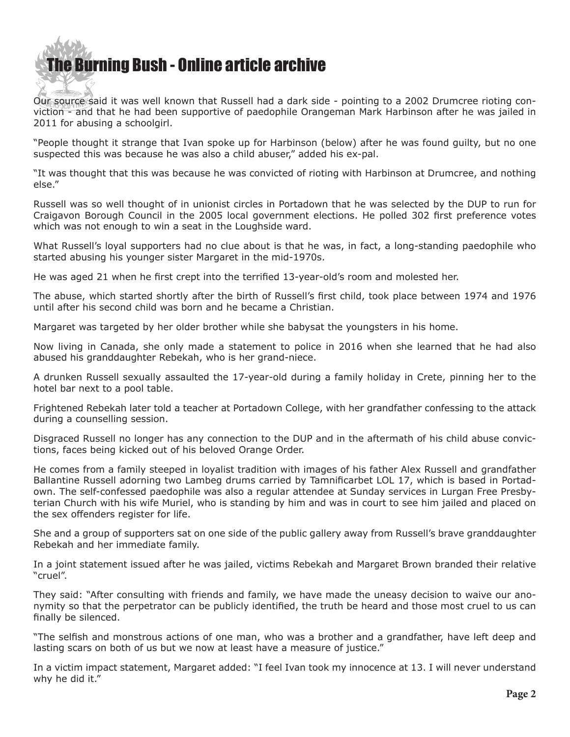## [The Bur](http://www.ivanfoster.net)ning Bush - Online article archive  $\mathcal{S}$  and  $\mathcal{S}$

Our source said it was well known that Russell had a dark side - pointing to a 2002 Drumcree rioting conviction - and that he had been supportive of paedophile Orangeman Mark Harbinson after he was jailed in 2011 for abusing a schoolgirl.

"People thought it strange that Ivan spoke up for Harbinson (below) after he was found guilty, but no one suspected this was because he was also a child abuser," added his ex-pal.

"It was thought that this was because he was convicted of rioting with Harbinson at Drumcree, and nothing else."

Russell was so well thought of in unionist circles in Portadown that he was selected by the DUP to run for Craigavon Borough Council in the 2005 local government elections. He polled 302 first preference votes which was not enough to win a seat in the Loughside ward.

What Russell's loyal supporters had no clue about is that he was, in fact, a long-standing paedophile who started abusing his younger sister Margaret in the mid-1970s.

He was aged 21 when he first crept into the terrified 13-year-old's room and molested her.

The abuse, which started shortly after the birth of Russell's first child, took place between 1974 and 1976 until after his second child was born and he became a Christian.

Margaret was targeted by her older brother while she babysat the youngsters in his home.

Now living in Canada, she only made a statement to police in 2016 when she learned that he had also abused his granddaughter Rebekah, who is her grand-niece.

A drunken Russell sexually assaulted the 17-year-old during a family holiday in Crete, pinning her to the hotel bar next to a pool table.

Frightened Rebekah later told a teacher at Portadown College, with her grandfather confessing to the attack during a counselling session.

Disgraced Russell no longer has any connection to the DUP and in the aftermath of his child abuse convictions, faces being kicked out of his beloved Orange Order.

He comes from a family steeped in loyalist tradition with images of his father Alex Russell and grandfather Ballantine Russell adorning two Lambeg drums carried by Tamnificarbet LOL 17, which is based in Portadown. The self-confessed paedophile was also a regular attendee at Sunday services in Lurgan Free Presbyterian Church with his wife Muriel, who is standing by him and was in court to see him jailed and placed on the sex offenders register for life.

She and a group of supporters sat on one side of the public gallery away from Russell's brave granddaughter Rebekah and her immediate family.

In a joint statement issued after he was jailed, victims Rebekah and Margaret Brown branded their relative "cruel".

They said: "After consulting with friends and family, we have made the uneasy decision to waive our anonymity so that the perpetrator can be publicly identified, the truth be heard and those most cruel to us can finally be silenced.

"The selfish and monstrous actions of one man, who was a brother and a grandfather, have left deep and lasting scars on both of us but we now at least have a measure of justice."

In a victim impact statement, Margaret added: "I feel Ivan took my innocence at 13. I will never understand why he did it."